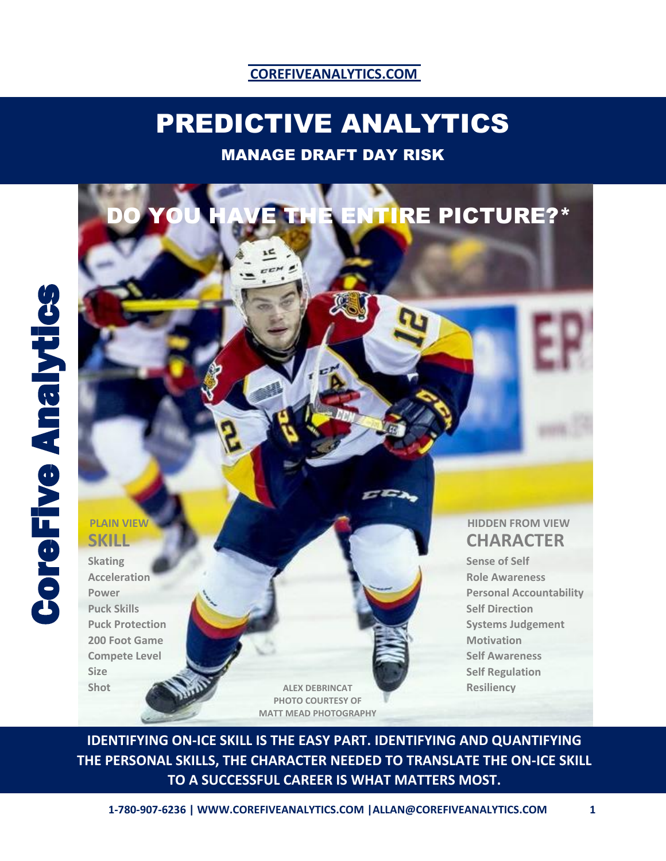## **COREFIVEANALYTICS.COM**

# PREDICTIVE ANALYTICS

## MANAGE DRAFT DAY RISK

# **SKILL**

**Skating Acceleration Power Puck Skills Puck Protection 200 Foot Game Compete Level Size Shot**

**ALEX DEBRINCAT PHOTO COURTESY OF MATT MEAD PHOTOGRAPHY**

## **CHARACTER PLAIN VIEW AND RESERVE THE RESERVE THE RESERVE THE RESERVE THE RESERVE THE RESERVE THE RESERVE THE RESERVE THE RESERVE THE RESERVE THE RESERVE THE RESERVE THE RESERVE THE RESERVE THE RESERVE THE RESERVE THE RESERVE THE RE**

**NTIRE PICTURE?\*** 

**Sense of Self Role Awareness Personal Accountability Self Direction Systems Judgement Motivation Self Awareness Self Regulation Resiliency**

**IDENTIFYING ON-ICE SKILL IS THE EASY PART. IDENTIFYING AND QUANTIFYING THE PERSONAL SKILLS, THE CHARACTER NEEDED TO TRANSLATE THE ON-ICE SKILL TO A SUCCESSFUL CAREER IS WHAT MATTERS MOST.**